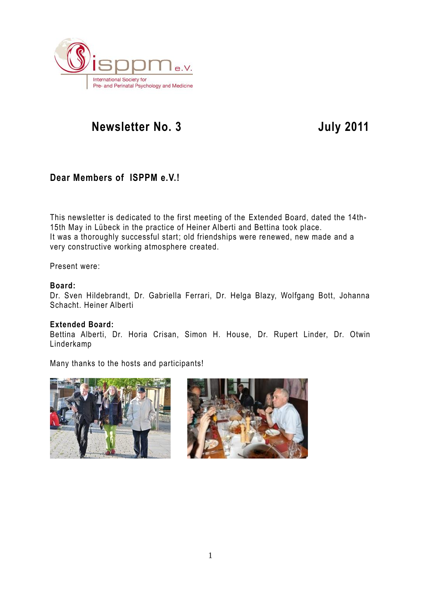

## **Dear Members of ISPPM e.V.!**

This newsletter is dedicated to the first meeting of the Extended Board, dated the 14th-15th May in Lübeck in the practice of Heiner Alberti and Bettina took place. It was a thoroughly successful start; old friendships were renewed, new made and a very constructive working atmosphere created.

Present were:

#### **Board:**

Dr. Sven Hildebrandt, Dr. Gabriella Ferrari, Dr. Helga Blazy, Wolfgang Bott, Johanna Schacht. Heiner Alberti

#### **Extended Board:**

Bettina Alberti, Dr. Horia Crisan, Simon H. House, Dr. Rupert Linder, Dr. Otwin Linderkamp

Many thanks to the hosts and participants!



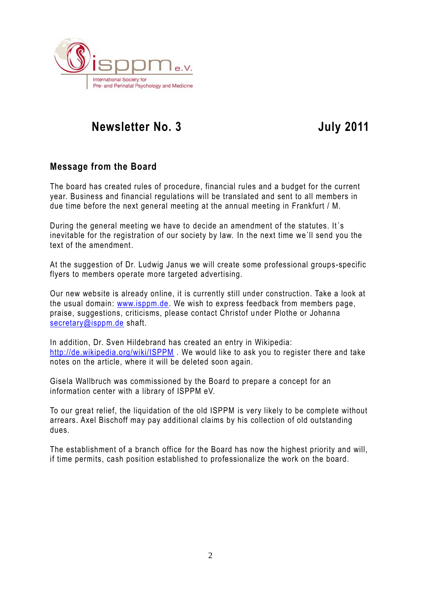

## **Message from the Board**

The board has created rules of procedure, financial rules and a budget for the current year. Business and financial regulations will be translated and sent to all members in due time before the next general meeting at the annual meeting in Frankfurt / M.

During the general meeting we have to decide an amendment of the statutes. It´s inevitable for the registration of our society by law. In the next time we´ll send you the text of the amendment.

At the suggestion of Dr. Ludwig Janus we will create some professional groups-specific flyers to members operate more targeted advertising.

Our new website is already online, it is currently still under construction. Take a look at the usual domain: [www.isppm.de.](http://www.isppm.de/) We wish to express feedback from members page, praise, suggestions, criticisms, please contact Christof under Plothe or Johanna [secretary@isppm.de](mailto:secretary@isppm.de) shaft.

In addition, Dr. Sven Hildebrand has created an entry in Wikipedia: <http://de.wikipedia.org/wiki/ISPPM> . We would like to ask you to register there and take notes on the article, where it will be deleted soon again.

Gisela Wallbruch was commissioned by the Board to prepare a concept for an information center with a library of ISPPM eV.

To our great relief, the liquidation of the old ISPPM is very likely to be complete without arrears. Axel Bischoff may pay additional claims by his collection of old outstanding dues.

The establishment of a branch office for the Board has now the highest priority and will, if time permits, cash position established to professionalize the work on the board.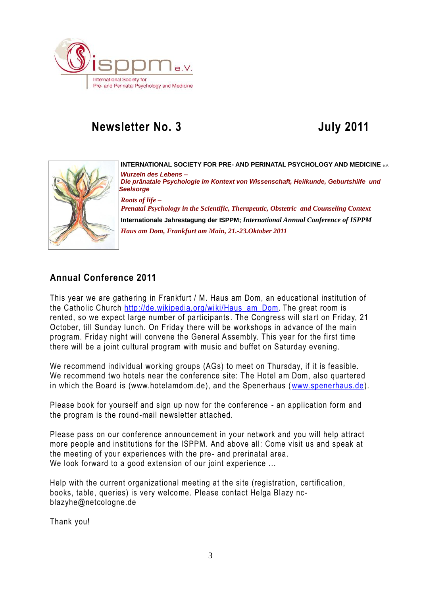



**INTERNATIONAL SOCIETY FOR PRE- AND PERINATAL PSYCHOLOGY AND MEDICINE** e.V. *Wurzeln des Lebens – Die pränatale Psychologie im Kontext von Wissenschaft, Heilkunde, Geburtshilfe und Seelsorge Roots of life – Prenatal Psychology in the Scientific, Therapeutic, Obstetric and Counseling Context* **Internationale Jahrestagung der ISPPM;** *International Annual Conference of ISPPM Haus am Dom, Frankfurt am Main, 21.-23.Oktober 2011*

## **Annual Conference 2011**

This year we are gathering in Frankfurt / M. Haus am Dom, an educational institution of the Catholic Church [http://de.wikipedia.org/wiki/Haus\\_am\\_Dom](http://de.wikipedia.org/wiki/Haus_am_Dom). The great room is rented, so we expect large number of participants . The Congress will start on Friday, 21 October, till Sunday lunch. On Friday there will be workshops in advance of the main program. Friday night will convene the General Assembly. This year for the first time there will be a joint cultural program with music and buffet on Saturday evening.

We recommend individual working groups (AGs) to meet on Thursday, if it is feasible. We recommend two hotels near the conference site: The Hotel am Dom, also quartered in which the Board is (www.hotelamdom.de), and the Spenerhaus [\(www.spenerhaus.de\)](http://www.spenerhaus.de/).

Please book for yourself and sign up now for the conference - an application form and the program is the round-mail newsletter attached.

Please pass on our conference announcement in your network and you will help attract more people and institutions for the ISPPM. And above all: Come visit us and speak at the meeting of your experiences with the pre- and prerinatal area. We look forward to a good extension of our joint experience ...

Help with the current organizational meeting at the site (registration, certification, books, table, queries) is very welcome. Please contact Helga Blazy ncblazyhe@netcologne.de

Thank you!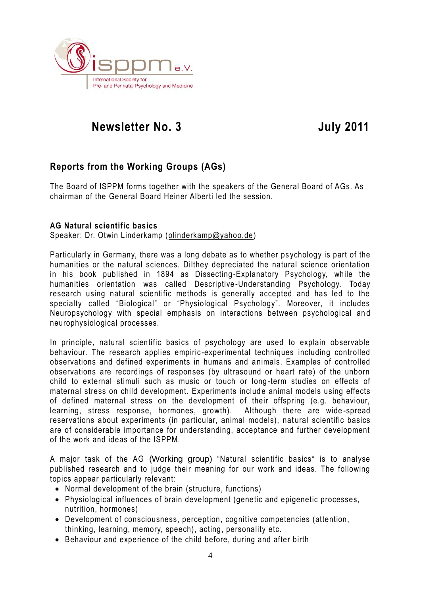

## **Reports from the Working Groups (AGs)**

The Board of ISPPM forms together with the speakers of the General Board of AGs. As chairman of the General Board Heiner Alberti led the session.

#### **AG Natural scientific basics**

Speaker: Dr. Otwin Linderkamp [\(olinderkamp@yahoo.de\)](mailto:olinderkamp@yahoo.de)

Particularly in Germany, there was a long debate as to whether ps ychology is part of the humanities or the natural sciences. Dilthey depreciated the natural science orientation in his book published in 1894 as Dissecting -Explanatory Psychology, while the humanities orientation was called Descriptive -Understanding Psychology. Today research using natural scientific methods is generally accepted and has led to the specialty called "Biological" or "Physiological Psychology". Moreover, it includes Neuropsychology with special emphasis on interactions between psychological an d neurophysiological processes.

In principle, natural scientific basics of psychology are used to explain observable behaviour. The research applies empiric -experimental techniques including controlled observations and defined experiments in humans and a nimals. Examples of controlled observations are recordings of responses (by ultrasound or heart rate) of the unborn child to external stimuli such as music or touch or long -term studies on effects of maternal stress on child development. Experiments include animal models using effects of defined maternal stress on the development of their offspring (e.g. behaviour, learning, stress response, hormones, growth). Although there are wide -spread reservations about experiments (in particular, animal models), natural scientific basics are of considerable importance for understanding, acceptance and further development of the work and ideas of the ISPPM.

A major task of the AG (Working group) "Natural scientific basics" is to analyse published research and to judge their meaning for our work and ideas. The following topics appear particularly relevant:

- Normal development of the brain (structure, functions)
- Physiological influences of brain development (genetic and epigenetic processes, nutrition, hormones)
- Development of consciousness, perception, cognitive competencies (attention, thinking, learning, memory, speech), acting, personality etc.
- Behaviour and experience of the child before, during and after birth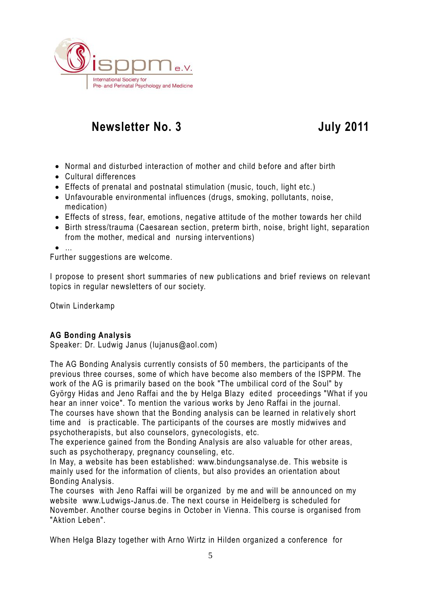

- Normal and disturbed interaction of mother and child before and after birth
- Cultural differences
- Effects of prenatal and postnatal stimulation (music, touch, light etc.)
- Unfavourable environmental influences (drugs, smoking, pollutants, noise, medication)
- Effects of stress, fear, emotions, negative attitude of the mother towards her child
- Birth stress/trauma (Caesarean section, preterm birth, noise, bright light, separation from the mother, medical and nursing interventions)

…<br>● …

Further suggestions are welcome.

I propose to present short summaries of new publications and brief reviews on relevant topics in regular newsletters of our society.

Otwin Linderkamp

### **AG Bonding Analysis**

Speaker: Dr. Ludwig Janus [\(lujanus@aol.com\)](mailto:lujanus@aol.com)

The AG Bonding Analysis currently consists of 5 0 members, the participants of the previous three courses, some of which have become also members of the ISPPM. The work of the AG is primarily based on the book "The umbilical cord of the Soul" by György Hidas and Jeno Raffai and the by Helga Blazy edited proceedings "What if you hear an inner voice". To mention the various works by Jeno Raffai in the journal. The courses have shown that the Bonding analysis can be learned in relatively short time and is practicable. The participants of the courses are mostly midwives and psychotherapists, but also counselors, gynecologists, etc.

The experience gained from the Bonding Analysis are also valuable for other areas, such as psychotherapy, pregnancy counseling, etc.

In May, a website has been established: [www.bindungsanalyse.de.](http://www.bindungsanalyse.de/) This website is mainly used for the information of clients, but also provides an orientation about Bonding Analysis.

The courses with Jeno Raffai will be organized by me and will be anno unced on my website [www.Ludwigs-Janus.de.](http://www.ludwigs-janus.de/) The next course in Heidelberg is scheduled for November. Another course begins in October in Vienna. This course is organised from "Aktion Leben".

When Helga Blazy together with Arno Wirtz in Hilden organized a conference for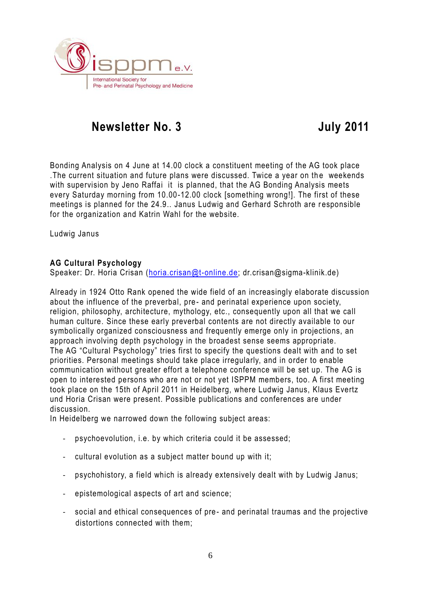

Bonding Analysis on 4 June at 14.00 clock a constituent meeting of the AG took place . The current situation and future plans were discussed. Twice a year on the weekends with supervision by Jeno Raffai it is planned, that the AG Bonding Analysis meets every Saturday morning from 10.00-12.00 clock [something wrong!]. The first of these meetings is planned for the 24.9.. Janus Ludwig and Gerhard Schroth are responsible for the organization and Katrin Wahl for the website.

Ludwig Janus

#### **AG Cultural Psychology**

Speaker: Dr. Horia Crisan [\(horia.crisan@t-online.de;](mailto:horia.crisan@t-online.de) dr.crisan@sigma-klinik.de)

Already in 1924 Otto Rank opened the wide field of an increasingly elaborate discussion about the influence of the preverbal, pre- and perinatal experience upon society, religion, philosophy, architecture, mythology, etc., consequently upon all that we call human culture. Since these early preverbal contents are not directly available to our symbolically organized consciousness and frequently emerge only in projections, an approach involving depth psychology in the broadest sense seems appropriate. The AG "Cultural Psychology" tries first to specify the questions dealt with and to set priorities. Personal meetings should take place irregularly, and in order to enable communication without greater effort a telephone conference will be set up. The AG is open to interested persons who are not or not yet ISPPM members, too. A first meeting took place on the 15th of April 2011 in Heidelberg, where Ludwig Janus, Klaus Evertz und Horia Crisan were present. Possible publications and conferences are under discussion.

In Heidelberg we narrowed down the following subject areas:

- psychoevolution, i.e. by which criteria could it be assessed;
- cultural evolution as a subject matter bound up with it;
- psychohistory, a field which is already extensively dealt with by Ludwig Janus;
- epistemological aspects of art and science;
- social and ethical consequences of pre- and perinatal traumas and the projective distortions connected with them;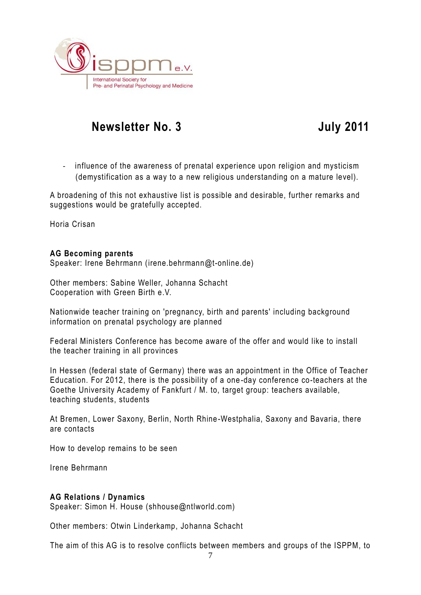

- influence of the awareness of prenatal experience upon religion and mysticism (demystification as a way to a new religious understanding on a mature level).

A broadening of this not exhaustive list is possible and desirable, further remarks and suggestions would be gratefully accepted.

Horia Crisan

#### **AG Becoming parents**

Speaker: Irene Behrmann (irene.behrmann@t-online.de)

Other members: Sabine Weller, Johanna Schacht Cooperation with Green Birth e.V.

Nationwide teacher training on 'pregnancy, birth and parents' including background information on prenatal psychology are planned

Federal Ministers Conference has become aware of the offer and would like to install the teacher training in all provinces

In Hessen (federal state of Germany) there was an appointment in the Office of Teacher Education. For 2012, there is the possibility of a one -day conference co-teachers at the Goethe University Academy of Fankfurt / M. to, target group: teachers available, teaching students, students

At Bremen, Lower Saxony, Berlin, North Rhine -Westphalia, Saxony and Bavaria, there are contacts

How to develop remains to be seen

Irene Behrmann

#### **AG Relations / Dynamics**

Speaker: Simon H. House (shhouse@ntlworld.com)

Other members: Otwin Linderkamp, Johanna Schacht

The aim of this AG is to resolve conflicts between members and groups of the ISPPM, to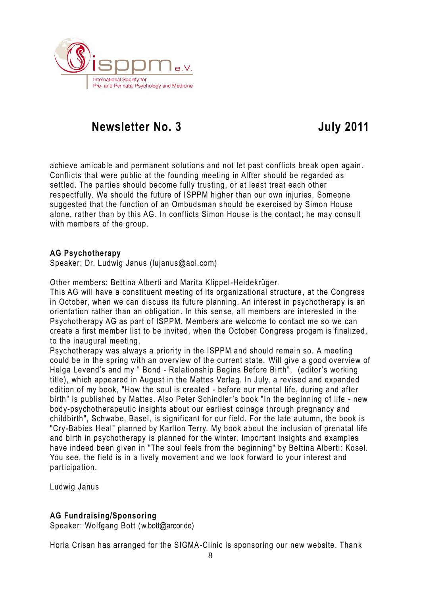

achieve amicable and permanent solutions and not let past conflicts break open again. Conflicts that were public at the founding meeting in Alfter should be regarded as settled. The parties should become fully trusting, or at least treat each other respectfully. We should the future of ISPPM higher than our own injuries. Someone suggested that the function of an Ombudsman should be exercised by Simon House alone, rather than by this AG. In conflicts Simon House is the contact; he may consult with members of the group.

#### **AG Psychotherapy**

Speaker: Dr. Ludwig Janus (lujanus@aol.com)

Other members: Bettina Alberti and Marita Klippel-Heidekrüger.

This AG will have a constituent meeting of its organizational structure , at the Congress in October, when we can discuss its future planning. An interest in psychotherapy is an orientation rather than an obligation. In this sense, all members are interested in the Psychotherapy AG as part of ISPPM. Members are welcome to contact me so we can create a first member list to be invited, when the October Congress progam is finalized, to the inaugural meeting.

Psychotherapy was always a priority in the ISPPM and should remain so. A meeting could be in the spring with an overview of the current state. Will give a good overview of Helga Levend's and my " Bond - Relationship Begins Before Birth", (editor's working title), which appeared in August in the Mattes Verlag. In July, a revised and expanded edition of my book, "How the soul is created - before our mental life, during and after birth" is published by Mattes. Also Peter Schindler's book "In the beginning of life - new body-psychotherapeutic insights about our earliest coinage t hrough pregnancy and childbirth", Schwabe, Basel, is significant for our field. For the late autumn, the book is "Cry-Babies Heal" planned by Karlton Terry. My book about the inclusion of prenatal life and birth in psychotherapy is planned for the winter. Important insights and examples have indeed been given in "The soul feels from the beginning" by Bettina Alberti: Kosel. You see, the field is in a lively movement and we look forward to your interest and participation.

Ludwig Janus

### **AG Fundraising/Sponsoring**

Speaker: Wolfgang Bott (w.bott@arcor.de)

Horia Crisan has arranged for the SIGMA-Clinic is sponsoring our new website. Than k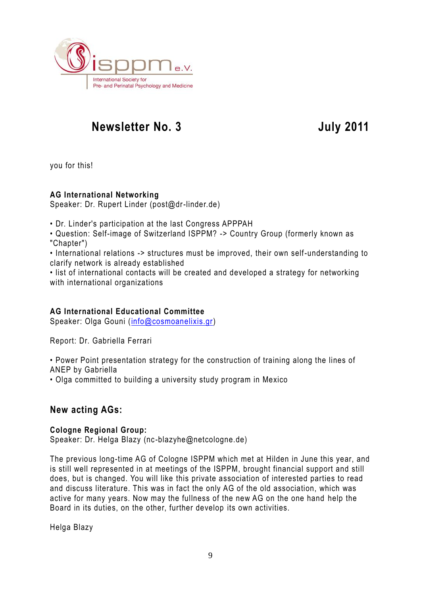

you for this!

### **AG International Networking**

Speaker: Dr. Rupert Linder (post@dr-linder.de)

• Dr. Linder's participation at the last Congress APPPAH

• Question: Self-image of Switzerland ISPPM? -> Country Group (formerly known as "Chapter")

• International relations -> structures must be improved, their own self-understanding to clarify network is already established

• list of international contacts will be created and developed a strategy for networking with international organizations

### **AG International Educational Committee**

Speaker: Olga Gouni [\(info@cosmoanelixis.gr\)](mailto:info@cosmoanelixis.gr)

Report: Dr. Gabriella Ferrari

• Power Point presentation strategy for the construction of training along the lines of ANEP by Gabriella

• Olga committed to building a university study program in Mexico

## **New acting AGs:**

### **Cologne Regional Group:**

Speaker: Dr. Helga Blazy (nc-blazyhe@netcologne.de)

The previous long-time AG of Cologne ISPPM which met at Hilden in June this year, and is still well represented in at meetings of the ISPPM, brought financial support and still does, but is changed. You will like this private association of interested parties to read and discuss literature. This was in fact the only AG of the old association, which was active for many years. Now may the fullness of the new AG on the one hand help the Board in its duties, on the other, further develop its own activities.

Helga Blazy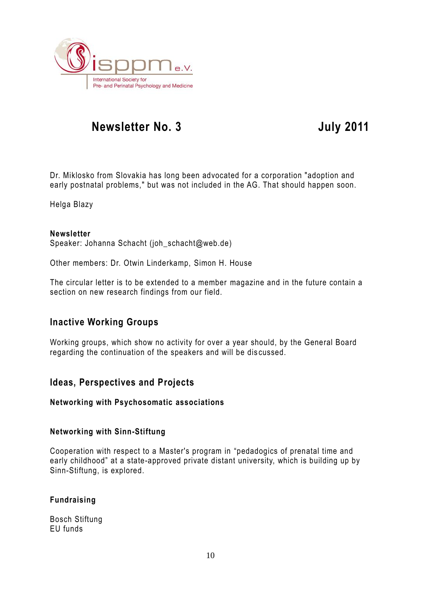

Dr. Miklosko from Slovakia has long been advocated for a corporation "adoption and early postnatal problems," but was not included in the AG. That should happen soon.

Helga Blazy

#### **Newsletter**

Speaker: Johanna Schacht (joh\_schacht@web.de)

Other members: Dr. Otwin Linderkamp, Simon H. House

The circular letter is to be extended to a member magazine and in the future contain a section on new research findings from our field.

## **Inactive Working Groups**

Working groups, which show no activity for over a year should, by the General Board regarding the continuation of the speakers and will be dis cussed.

### **Ideas, Perspectives and Projects**

#### **Networking with Psychosomatic associations**

#### **Networking with Sinn-Stiftung**

Cooperation with respect to a Master's program in "pedadogics of prenatal time and early childhood" at a state-approved private distant university, which is building up by Sinn-Stiftung, is explored.

#### **Fundraising**

Bosch Stiftung EU funds